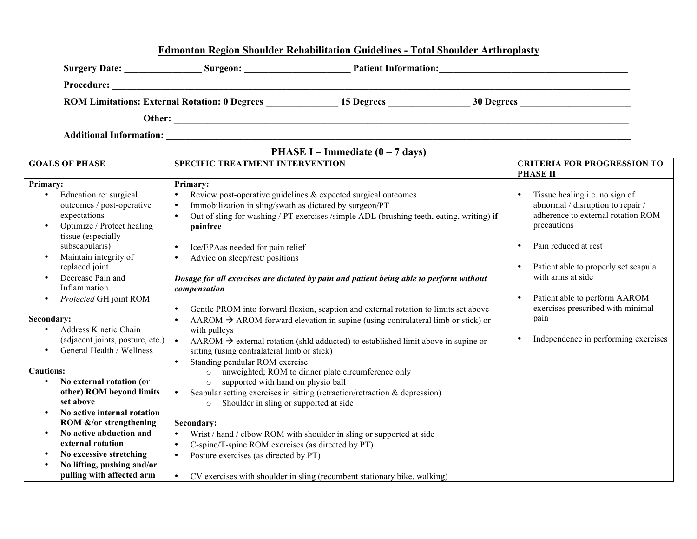## **Edmonton Region Shoulder Rehabilitation Guidelines - Total Shoulder Arthroplasty**

| <b>Surgery Date:</b>                                 | Surgeon: | <b>Patient Information:</b> |            |  |
|------------------------------------------------------|----------|-----------------------------|------------|--|
| <b>Procedure:</b>                                    |          |                             |            |  |
| <b>ROM Limitations: External Rotation: 0 Degrees</b> |          | 15 Degrees                  | 30 Degrees |  |
| Other:                                               |          |                             |            |  |

**Additional Information: \_\_\_\_\_\_\_\_\_\_\_\_\_\_\_\_\_\_\_\_\_\_\_\_\_\_\_\_\_\_\_\_\_\_\_\_\_\_\_\_\_\_\_\_\_\_\_\_\_\_\_\_\_\_\_\_\_\_\_\_\_\_\_\_\_\_\_\_\_\_\_\_\_\_\_\_\_\_\_\_\_\_\_\_\_\_\_\_\_\_\_\_\_\_\_\_**

**PHASE I – Immediate (0 – 7 days)**

| <b>GOALS OF PHASE</b>                                                                                                                                                                                     | <b>SPECIFIC TREATMENT INTERVENTION</b>                                                                                                                                                                                                                                                                                                                                   |                                                                                                                                                  |
|-----------------------------------------------------------------------------------------------------------------------------------------------------------------------------------------------------------|--------------------------------------------------------------------------------------------------------------------------------------------------------------------------------------------------------------------------------------------------------------------------------------------------------------------------------------------------------------------------|--------------------------------------------------------------------------------------------------------------------------------------------------|
|                                                                                                                                                                                                           |                                                                                                                                                                                                                                                                                                                                                                          | <b>PHASE II</b>                                                                                                                                  |
| Primary:                                                                                                                                                                                                  | Primary:                                                                                                                                                                                                                                                                                                                                                                 |                                                                                                                                                  |
| Education re: surgical<br>$\bullet$<br>outcomes / post-operative<br>expectations<br>Optimize / Protect healing<br>$\bullet$<br>tissue (especially<br>subscapularis)<br>Maintain integrity of<br>$\bullet$ | Review post-operative guidelines & expected surgical outcomes<br>$\bullet$<br>Immobilization in sling/swath as dictated by surgeon/PT<br>$\bullet$<br>Out of sling for washing / PT exercises /simple ADL (brushing teeth, eating, writing) if<br>$\bullet$<br>painfree<br>Ice/EPAas needed for pain relief<br>$\bullet$<br>Advice on sleep/rest/ positions<br>$\bullet$ | Tissue healing i.e. no sign of<br>abnormal / disruption to repair /<br>adherence to external rotation ROM<br>precautions<br>Pain reduced at rest |
| replaced joint<br>Decrease Pain and<br>٠<br>Inflammation<br>Protected GH joint ROM<br>$\bullet$                                                                                                           | Dosage for all exercises are dictated by pain and patient being able to perform without<br>compensation                                                                                                                                                                                                                                                                  | Patient able to properly set scapula<br>with arms at side<br>Patient able to perform AAROM                                                       |
| Secondary:<br>Address Kinetic Chain<br>$\bullet$                                                                                                                                                          | Gentle PROM into forward flexion, scaption and external rotation to limits set above<br>$\bullet$<br>AAROM $\rightarrow$ AROM forward elevation in supine (using contralateral limb or stick) or<br>$\bullet$<br>with pulleys                                                                                                                                            | exercises prescribed with minimal<br>pain                                                                                                        |
| (adjacent joints, posture, etc.)<br>General Health / Wellness<br>$\bullet$                                                                                                                                | AAROM $\rightarrow$ external rotation (shld adducted) to established limit above in supine or<br>sitting (using contralateral limb or stick)<br>Standing pendular ROM exercise                                                                                                                                                                                           | Independence in performing exercises                                                                                                             |
| <b>Cautions:</b>                                                                                                                                                                                          | unweighted; ROM to dinner plate circumference only<br>$\circ$                                                                                                                                                                                                                                                                                                            |                                                                                                                                                  |
| No external rotation (or<br>$\bullet$<br>other) ROM beyond limits<br>set above<br>No active internal rotation<br>$\bullet$                                                                                | supported with hand on physio ball<br>$\circ$<br>Scapular setting exercises in sitting (retraction/retraction $\&$ depression)<br>$\bullet$<br>Shoulder in sling or supported at side<br>$\Omega$                                                                                                                                                                        |                                                                                                                                                  |
| ROM &/or strengthening                                                                                                                                                                                    | Secondary:                                                                                                                                                                                                                                                                                                                                                               |                                                                                                                                                  |
| No active abduction and<br>$\bullet$<br>external rotation                                                                                                                                                 | Wrist / hand / elbow ROM with shoulder in sling or supported at side<br>$\bullet$<br>C-spine/T-spine ROM exercises (as directed by PT)<br>$\bullet$                                                                                                                                                                                                                      |                                                                                                                                                  |
| No excessive stretching<br>$\bullet$                                                                                                                                                                      | Posture exercises (as directed by PT)<br>$\bullet$                                                                                                                                                                                                                                                                                                                       |                                                                                                                                                  |
| No lifting, pushing and/or<br>$\bullet$<br>pulling with affected arm                                                                                                                                      | CV exercises with shoulder in sling (recumbent stationary bike, walking)<br>$\bullet$                                                                                                                                                                                                                                                                                    |                                                                                                                                                  |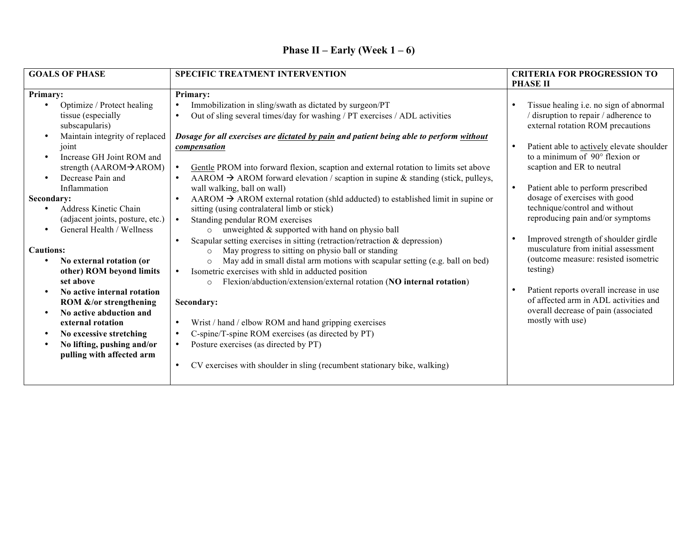| <b>GOALS OF PHASE</b>                                                                                                                                                                                                                                                                                          | <b>SPECIFIC TREATMENT INTERVENTION</b>                                                                                                                                                                                                                                                                                                                                                                                                                                                                                                                                                                             | <b>CRITERIA FOR PROGRESSION TO</b>                                                                                                                                                                                                                                                                                                  |
|----------------------------------------------------------------------------------------------------------------------------------------------------------------------------------------------------------------------------------------------------------------------------------------------------------------|--------------------------------------------------------------------------------------------------------------------------------------------------------------------------------------------------------------------------------------------------------------------------------------------------------------------------------------------------------------------------------------------------------------------------------------------------------------------------------------------------------------------------------------------------------------------------------------------------------------------|-------------------------------------------------------------------------------------------------------------------------------------------------------------------------------------------------------------------------------------------------------------------------------------------------------------------------------------|
|                                                                                                                                                                                                                                                                                                                |                                                                                                                                                                                                                                                                                                                                                                                                                                                                                                                                                                                                                    | <b>PHASE II</b>                                                                                                                                                                                                                                                                                                                     |
| Primary:                                                                                                                                                                                                                                                                                                       | Primary:                                                                                                                                                                                                                                                                                                                                                                                                                                                                                                                                                                                                           |                                                                                                                                                                                                                                                                                                                                     |
| Optimize / Protect healing<br>$\bullet$<br>tissue (especially<br>subscapularis)<br>Maintain integrity of replaced<br>$\bullet$<br>joint<br>Increase GH Joint ROM and<br>$\bullet$<br>strength $(AAROM \rightarrow AROM)$<br>Decrease Pain and<br>Inflammation<br>Secondary:                                    | Immobilization in sling/swath as dictated by surgeon/PT<br>Out of sling several times/day for washing / PT exercises / ADL activities<br>$\bullet$<br>Dosage for all exercises are dictated by pain and patient being able to perform without<br>compensation<br>Gentle PROM into forward flexion, scaption and external rotation to limits set above<br>AAROM $\rightarrow$ AROM forward elevation / scaption in supine & standing (stick, pulleys,<br>$\bullet$<br>wall walking, ball on wall)                                                                                                                   | Tissue healing i.e. no sign of abnormal<br>/ disruption to repair / adherence to<br>external rotation ROM precautions<br>Patient able to actively elevate shoulder<br>$\bullet$<br>to a minimum of 90° flexion or<br>scaption and ER to neutral<br>Patient able to perform prescribed<br>$\bullet$<br>dosage of exercises with good |
| Address Kinetic Chain<br>$\bullet$<br>(adjacent joints, posture, etc.)<br>General Health / Wellness<br>$\bullet$                                                                                                                                                                                               | $AAROM \rightarrow AROM$ external rotation (shld adducted) to established limit in supine or<br>sitting (using contralateral limb or stick)<br>Standing pendular ROM exercises<br>unweighted & supported with hand on physio ball<br>$\circ$<br>Scapular setting exercises in sitting (retraction/retraction $\&$ depression)<br>$\bullet$                                                                                                                                                                                                                                                                         | technique/control and without<br>reproducing pain and/or symptoms<br>Improved strength of shoulder girdle                                                                                                                                                                                                                           |
| <b>Cautions:</b><br>No external rotation (or<br>other) ROM beyond limits<br>set above<br>No active internal rotation<br>ROM &/or strengthening<br>No active abduction and<br>external rotation<br>No excessive stretching<br>$\bullet$<br>No lifting, pushing and/or<br>$\bullet$<br>pulling with affected arm | May progress to sitting on physio ball or standing<br>$\circ$<br>May add in small distal arm motions with scapular setting (e.g. ball on bed)<br>$\circ$<br>Isometric exercises with shld in adducted position<br>$\bullet$<br>Flexion/abduction/extension/external rotation (NO internal rotation)<br>$\circ$<br>Secondary:<br>Wrist / hand / elbow ROM and hand gripping exercises<br>$\bullet$<br>C-spine/T-spine ROM exercises (as directed by PT)<br>$\bullet$<br>Posture exercises (as directed by PT)<br>$\bullet$<br>CV exercises with shoulder in sling (recumbent stationary bike, walking)<br>$\bullet$ | musculature from initial assessment<br>(outcome measure: resisted isometric<br>testing)<br>Patient reports overall increase in use<br>of affected arm in ADL activities and<br>overall decrease of pain (associated<br>mostly with use)                                                                                             |

## **Phase II – Early (Week 1 – 6)**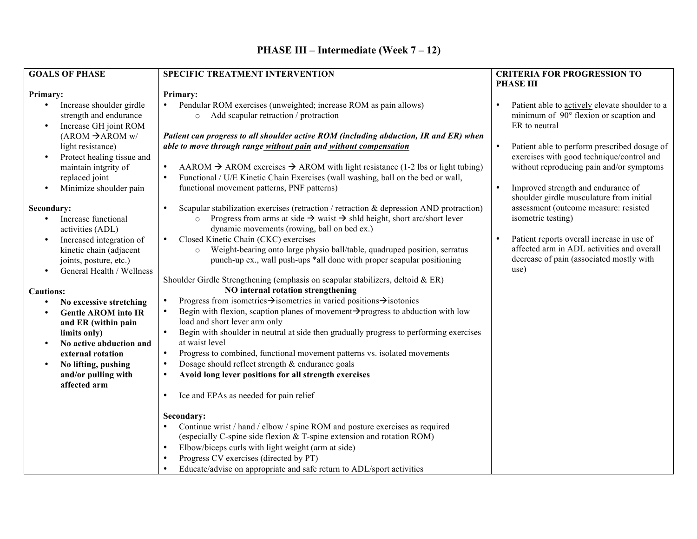| <b>SPECIFIC TREATMENT INTERVENTION</b>                                                                                                                                                                                                                                                                                                                                                                                                                                                                                                          |                                                                                                                                                                                                                                                                                                                                                                                                                                                                                                                                                                                                                                                                                                                                                                                                                                                                                                                                                                                                                                                                                                                                         | <b>CRITERIA FOR PROGRESSION TO</b>                                                                                                                                                                                                                                                                                                                                                                                                                                                                                                                                                                |  |
|-------------------------------------------------------------------------------------------------------------------------------------------------------------------------------------------------------------------------------------------------------------------------------------------------------------------------------------------------------------------------------------------------------------------------------------------------------------------------------------------------------------------------------------------------|-----------------------------------------------------------------------------------------------------------------------------------------------------------------------------------------------------------------------------------------------------------------------------------------------------------------------------------------------------------------------------------------------------------------------------------------------------------------------------------------------------------------------------------------------------------------------------------------------------------------------------------------------------------------------------------------------------------------------------------------------------------------------------------------------------------------------------------------------------------------------------------------------------------------------------------------------------------------------------------------------------------------------------------------------------------------------------------------------------------------------------------------|---------------------------------------------------------------------------------------------------------------------------------------------------------------------------------------------------------------------------------------------------------------------------------------------------------------------------------------------------------------------------------------------------------------------------------------------------------------------------------------------------------------------------------------------------------------------------------------------------|--|
| <b>GOALS OF PHASE</b><br>Primary:<br>Increase shoulder girdle<br>$\bullet$<br>strength and endurance<br>Increase GH joint ROM<br>$\bullet$<br>$(AROM \rightarrow AROM w)$<br>light resistance)<br>Protect healing tissue and<br>$\bullet$<br>maintain intgrity of<br>replaced joint<br>Minimize shoulder pain<br>Secondary:<br>Increase functional<br>$\bullet$<br>activities (ADL)<br>Increased integration of<br>$\bullet$<br>kinetic chain (adjacent<br>joints, posture, etc.)<br>General Health / Wellness<br>$\bullet$<br><b>Cautions:</b> | Primary:<br>Pendular ROM exercises (unweighted; increase ROM as pain allows)<br>Add scapular retraction / protraction<br>$\circ$<br>Patient can progress to all shoulder active ROM (including abduction, IR and ER) when<br>able to move through range without pain and without compensation<br>AAROM $\rightarrow$ AROM exercises $\rightarrow$ AROM with light resistance (1-2 lbs or light tubing)<br>$\bullet$<br>Functional / U/E Kinetic Chain Exercises (wall washing, ball on the bed or wall,<br>functional movement patterns, PNF patterns)<br>Scapular stabilization exercises (retraction / retraction & depression AND protraction)<br>o Progress from arms at side $\rightarrow$ waist $\rightarrow$ shld height, short arc/short lever<br>dynamic movements (rowing, ball on bed ex.)<br>Closed Kinetic Chain (CKC) exercises<br>Weight-bearing onto large physio ball/table, quadruped position, serratus<br>$\circ$<br>punch-up ex., wall push-ups *all done with proper scapular positioning<br>Shoulder Girdle Strengthening (emphasis on scapular stabilizers, deltoid & ER)<br>NO internal rotation strengthening | <b>PHASE III</b><br>Patient able to actively elevate shoulder to a<br>minimum of 90° flexion or scaption and<br>ER to neutral<br>Patient able to perform prescribed dosage of<br>exercises with good technique/control and<br>without reproducing pain and/or symptoms<br>Improved strength and endurance of<br>$\bullet$<br>shoulder girdle musculature from initial<br>assessment (outcome measure: resisted<br>isometric testing)<br>Patient reports overall increase in use of<br>$\bullet$<br>affected arm in ADL activities and overall<br>decrease of pain (associated mostly with<br>use) |  |
| No excessive stretching<br>$\bullet$<br><b>Gentle AROM into IR</b><br>and ER (within pain<br>limits only)<br>No active abduction and<br>$\bullet$<br>external rotation<br>No lifting, pushing<br>$\bullet$<br>and/or pulling with                                                                                                                                                                                                                                                                                                               | Progress from isometrics $\rightarrow$ isometrics in varied positions $\rightarrow$ isotonics<br>Begin with flexion, scaption planes of movement $\rightarrow$ progress to abduction with low<br>$\bullet$<br>load and short lever arm only<br>Begin with shoulder in neutral at side then gradually progress to performing exercises<br>$\bullet$<br>at waist level<br>Progress to combined, functional movement patterns vs. isolated movements<br>$\bullet$<br>Dosage should reflect strength & endurance goals<br>Avoid long lever positions for all strength exercises                                                                                                                                                                                                                                                                                                                                                                                                                                                                                                                                                             |                                                                                                                                                                                                                                                                                                                                                                                                                                                                                                                                                                                                   |  |
| affected arm                                                                                                                                                                                                                                                                                                                                                                                                                                                                                                                                    | Ice and EPAs as needed for pain relief<br>٠<br>Secondary:<br>Continue wrist / hand / elbow / spine ROM and posture exercises as required<br>(especially C-spine side flexion & T-spine extension and rotation ROM)<br>Elbow/biceps curls with light weight (arm at side)<br>Progress CV exercises (directed by PT)<br>Educate/advise on appropriate and safe return to ADL/sport activities                                                                                                                                                                                                                                                                                                                                                                                                                                                                                                                                                                                                                                                                                                                                             |                                                                                                                                                                                                                                                                                                                                                                                                                                                                                                                                                                                                   |  |

## **PHASE III – Intermediate (Week 7 – 12)**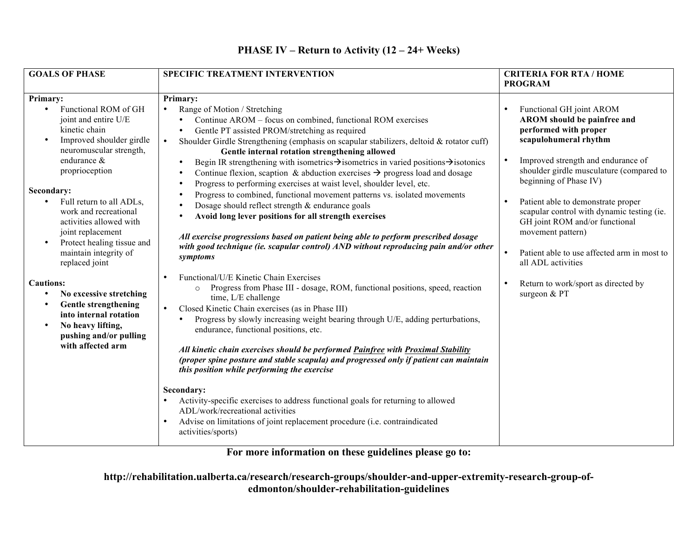| <b>GOALS OF PHASE</b>                                                                                                                                                                                                                                                 | SPECIFIC TREATMENT INTERVENTION                                                                                                                                                                                                                                                                                                                                                                                                                                                                                                                                                                                                                                                                                                                                                                                                                                                                                                                                                             | <b>CRITERIA FOR RTA / HOME</b><br><b>PROGRAM</b>                                                                                                                                                                                                                                                                                            |  |
|-----------------------------------------------------------------------------------------------------------------------------------------------------------------------------------------------------------------------------------------------------------------------|---------------------------------------------------------------------------------------------------------------------------------------------------------------------------------------------------------------------------------------------------------------------------------------------------------------------------------------------------------------------------------------------------------------------------------------------------------------------------------------------------------------------------------------------------------------------------------------------------------------------------------------------------------------------------------------------------------------------------------------------------------------------------------------------------------------------------------------------------------------------------------------------------------------------------------------------------------------------------------------------|---------------------------------------------------------------------------------------------------------------------------------------------------------------------------------------------------------------------------------------------------------------------------------------------------------------------------------------------|--|
|                                                                                                                                                                                                                                                                       |                                                                                                                                                                                                                                                                                                                                                                                                                                                                                                                                                                                                                                                                                                                                                                                                                                                                                                                                                                                             |                                                                                                                                                                                                                                                                                                                                             |  |
| <b>Primary:</b><br>Functional ROM of GH<br>$\bullet$<br>joint and entire U/E<br>kinetic chain<br>Improved shoulder girdle<br>$\bullet$<br>neuromuscular strength,<br>endurance &<br>proprioception<br>Secondary:<br>Full return to all ADLs,<br>work and recreational | Primary:<br>Range of Motion / Stretching<br>Continue AROM - focus on combined, functional ROM exercises<br>Gentle PT assisted PROM/stretching as required<br>$\bullet$<br>Shoulder Girdle Strengthening (emphasis on scapular stabilizers, deltoid & rotator cuff)<br>Gentle internal rotation strengthening allowed<br>Begin IR strengthening with isometrics $\rightarrow$ isometrics in varied positions $\rightarrow$ isotonics<br>Continue flexion, scaption & abduction exercises $\rightarrow$ progress load and dosage<br>Progress to performing exercises at waist level, shoulder level, etc.<br>Progress to combined, functional movement patterns vs. isolated movements<br>Dosage should reflect strength & endurance goals<br>Avoid long lever positions for all strength exercises<br>All exercise progressions based on patient being able to perform prescribed dosage<br>with good technique (ie. scapular control) AND without reproducing pain and/or other<br>symptoms | Functional GH joint AROM<br>AROM should be painfree and<br>performed with proper<br>scapulohumeral rhythm<br>Improved strength and endurance of<br>shoulder girdle musculature (compared to<br>beginning of Phase IV)<br>Patient able to demonstrate proper<br>scapular control with dynamic testing (ie.<br>GH joint ROM and/or functional |  |
| activities allowed with<br>joint replacement<br>Protect healing tissue and<br>$\bullet$<br>maintain integrity of<br>replaced joint                                                                                                                                    |                                                                                                                                                                                                                                                                                                                                                                                                                                                                                                                                                                                                                                                                                                                                                                                                                                                                                                                                                                                             | movement pattern)<br>Patient able to use affected arm in most to<br>$\bullet$<br>all ADL activities                                                                                                                                                                                                                                         |  |
| <b>Cautions:</b><br>No excessive stretching<br>$\bullet$<br><b>Gentle strengthening</b><br>$\bullet$<br>into internal rotation<br>No heavy lifting,<br>$\bullet$<br>pushing and/or pulling<br>with affected arm                                                       | Functional/U/E Kinetic Chain Exercises<br>Progress from Phase III - dosage, ROM, functional positions, speed, reaction<br>$\circ$<br>time, L/E challenge<br>Closed Kinetic Chain exercises (as in Phase III)<br>$\bullet$<br>Progress by slowly increasing weight bearing through U/E, adding perturbations,<br>endurance, functional positions, etc.<br>All kinetic chain exercises should be performed Painfree with Proximal Stability<br>(proper spine posture and stable scapula) and progressed only if patient can maintain<br>this position while performing the exercise                                                                                                                                                                                                                                                                                                                                                                                                           | Return to work/sport as directed by<br>surgeon & PT                                                                                                                                                                                                                                                                                         |  |
|                                                                                                                                                                                                                                                                       | Secondary:<br>Activity-specific exercises to address functional goals for returning to allowed<br>ADL/work/recreational activities<br>Advise on limitations of joint replacement procedure (i.e. contraindicated<br>activities/sports)                                                                                                                                                                                                                                                                                                                                                                                                                                                                                                                                                                                                                                                                                                                                                      |                                                                                                                                                                                                                                                                                                                                             |  |

## **PHASE IV – Return to Activity (12 – 24+ Weeks)**

**For more information on these guidelines please go to:**

**http://rehabilitation.ualberta.ca/research/research-groups/shoulder-and-upper-extremity-research-group-ofedmonton/shoulder-rehabilitation-guidelines**